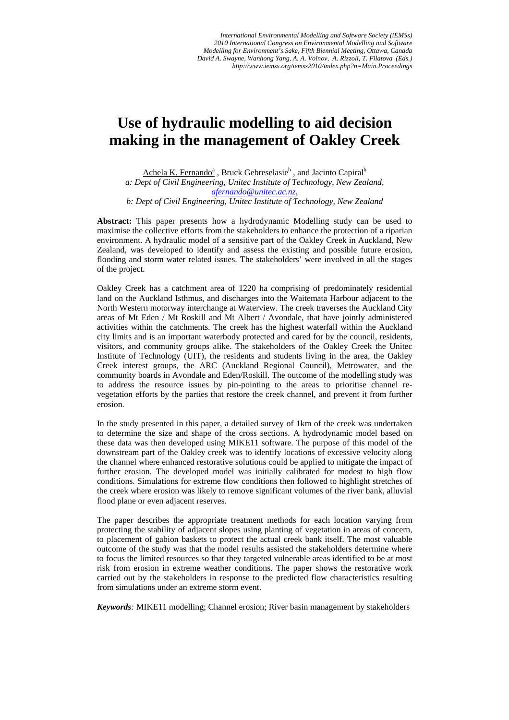# **Use of hydraulic modelling to aid decision making in the management of Oakley Creek**

Achela K. Fernando<sup>a</sup>, Bruck Gebreselasie<sup>b</sup>, and Jacinto Capiral<sup>b</sup> *a: Dept of Civil Engineering, Unitec Institute of Technology, New Zealand, afernando@unitec.ac.nz,* 

*b: Dept of Civil Engineering, Unitec Institute of Technology, New Zealand* 

**Abstract:** This paper presents how a hydrodynamic Modelling study can be used to maximise the collective efforts from the stakeholders to enhance the protection of a riparian environment. A hydraulic model of a sensitive part of the Oakley Creek in Auckland, New Zealand, was developed to identify and assess the existing and possible future erosion, flooding and storm water related issues. The stakeholders' were involved in all the stages of the project.

Oakley Creek has a catchment area of 1220 ha comprising of predominately residential land on the Auckland Isthmus, and discharges into the Waitemata Harbour adjacent to the North Western motorway interchange at Waterview. The creek traverses the Auckland City areas of Mt Eden / Mt Roskill and Mt Albert / Avondale, that have jointly administered activities within the catchments. The creek has the highest waterfall within the Auckland city limits and is an important waterbody protected and cared for by the council, residents, visitors, and community groups alike. The stakeholders of the Oakley Creek the Unitec Institute of Technology (UIT), the residents and students living in the area, the Oakley Creek interest groups, the ARC (Auckland Regional Council), Metrowater, and the community boards in Avondale and Eden/Roskill. The outcome of the modelling study was to address the resource issues by pin-pointing to the areas to prioritise channel revegetation efforts by the parties that restore the creek channel, and prevent it from further erosion.

In the study presented in this paper, a detailed survey of 1km of the creek was undertaken to determine the size and shape of the cross sections. A hydrodynamic model based on these data was then developed using MIKE11 software. The purpose of this model of the downstream part of the Oakley creek was to identify locations of excessive velocity along the channel where enhanced restorative solutions could be applied to mitigate the impact of further erosion. The developed model was initially calibrated for modest to high flow conditions. Simulations for extreme flow conditions then followed to highlight stretches of the creek where erosion was likely to remove significant volumes of the river bank, alluvial flood plane or even adjacent reserves.

The paper describes the appropriate treatment methods for each location varying from protecting the stability of adjacent slopes using planting of vegetation in areas of concern, to placement of gabion baskets to protect the actual creek bank itself. The most valuable outcome of the study was that the model results assisted the stakeholders determine where to focus the limited resources so that they targeted vulnerable areas identified to be at most risk from erosion in extreme weather conditions. The paper shows the restorative work carried out by the stakeholders in response to the predicted flow characteristics resulting from simulations under an extreme storm event.

*Keywords:* MIKE11 modelling; Channel erosion; River basin management by stakeholders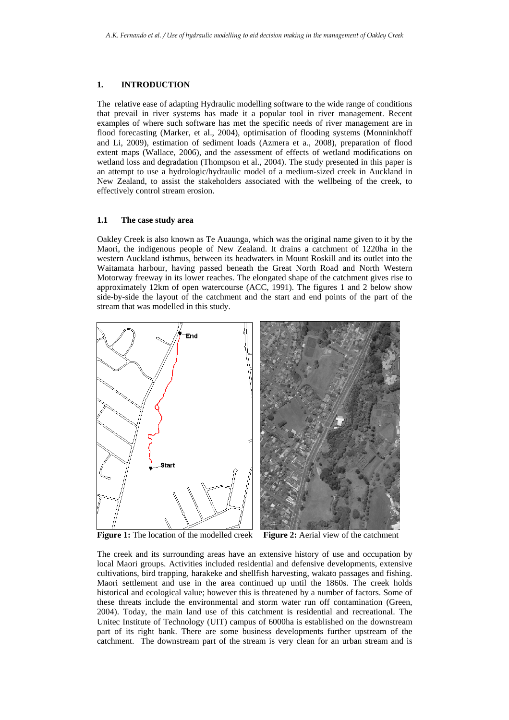## **1. INTRODUCTION**

The relative ease of adapting Hydraulic modelling software to the wide range of conditions that prevail in river systems has made it a popular tool in river management. Recent examples of where such software has met the specific needs of river management are in flood forecasting (Marker, et al., 2004), optimisation of flooding systems (Monninkhoff and Li, 2009), estimation of sediment loads (Azmera et a., 2008), preparation of flood extent maps (Wallace, 2006), and the assessment of effects of wetland modifications on wetland loss and degradation (Thompson et al., 2004). The study presented in this paper is an attempt to use a hydrologic/hydraulic model of a medium-sized creek in Auckland in New Zealand, to assist the stakeholders associated with the wellbeing of the creek, to effectively control stream erosion.

## **1.1 The case study area**

Oakley Creek is also known as Te Auaunga, which was the original name given to it by the Maori, the indigenous people of New Zealand. It drains a catchment of 1220ha in the western Auckland isthmus, between its headwaters in Mount Roskill and its outlet into the Waitamata harbour, having passed beneath the Great North Road and North Western Motorway freeway in its lower reaches. The elongated shape of the catchment gives rise to approximately 12km of open watercourse (ACC, 1991). The figures 1 and 2 below show side-by-side the layout of the catchment and the start and end points of the part of the stream that was modelled in this study.



The creek and its surrounding areas have an extensive history of use and occupation by local Maori groups. Activities included residential and defensive developments, extensive cultivations, bird trapping, harakeke and shellfish harvesting, wakato passages and fishing. Maori settlement and use in the area continued up until the 1860s. The creek holds historical and ecological value; however this is threatened by a number of factors. Some of these threats include the environmental and storm water run off contamination (Green, 2004). Today, the main land use of this catchment is residential and recreational. The Unitec Institute of Technology (UIT) campus of 6000ha is established on the downstream part of its right bank. There are some business developments further upstream of the catchment. The downstream part of the stream is very clean for an urban stream and is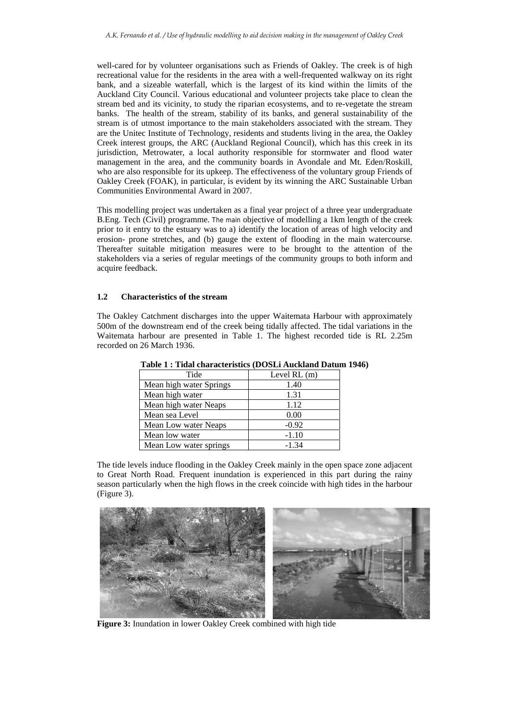well-cared for by volunteer organisations such as Friends of Oakley. The creek is of high recreational value for the residents in the area with a well-frequented walkway on its right bank, and a sizeable waterfall, which is the largest of its kind within the limits of the Auckland City Council. Various educational and volunteer projects take place to clean the stream bed and its vicinity, to study the riparian ecosystems, and to re-vegetate the stream banks. The health of the stream, stability of its banks, and general sustainability of the stream is of utmost importance to the main stakeholders associated with the stream. They are the Unitec Institute of Technology, residents and students living in the area, the Oakley Creek interest groups, the ARC (Auckland Regional Council), which has this creek in its jurisdiction, Metrowater, a local authority responsible for stormwater and flood water management in the area, and the community boards in Avondale and Mt. Eden/Roskill, who are also responsible for its upkeep. The effectiveness of the voluntary group Friends of Oakley Creek (FOAK), in particular, is evident by its winning the ARC Sustainable Urban Communities Environmental Award in 2007.

This modelling project was undertaken as a final year project of a three year undergraduate B.Eng. Tech (Civil) programme. The main objective of modelling a 1km length of the creek prior to it entry to the estuary was to a) identify the location of areas of high velocity and erosion- prone stretches, and (b) gauge the extent of flooding in the main watercourse. Thereafter suitable mitigation measures were to be brought to the attention of the stakeholders via a series of regular meetings of the community groups to both inform and acquire feedback.

## **1.2 Characteristics of the stream**

The Oakley Catchment discharges into the upper Waitemata Harbour with approximately 500m of the downstream end of the creek being tidally affected. The tidal variations in the Waitemata harbour are presented in Table 1. The highest recorded tide is RL 2.25m recorded on 26 March 1936.

| Tide                    | Level $RL(m)$ |
|-------------------------|---------------|
| Mean high water Springs | 1.40          |
| Mean high water         | 1.31          |
| Mean high water Neaps   | 1.12          |
| Mean sea Level          | 0.00          |
| Mean Low water Neaps    | $-0.92$       |
| Mean low water          | $-1.10$       |
| Mean Low water springs  | $-1.34$       |

**Table 1 : Tidal characteristics (DOSLi Auckland Datum 1946)** 

The tide levels induce flooding in the Oakley Creek mainly in the open space zone adjacent to Great North Road. Frequent inundation is experienced in this part during the rainy season particularly when the high flows in the creek coincide with high tides in the harbour (Figure 3).



**Figure 3:** Inundation in lower Oakley Creek combined with high tide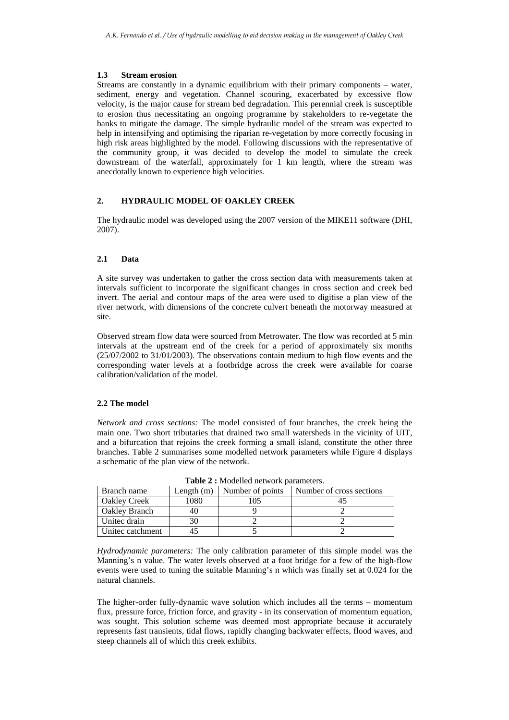## **1.3 Stream erosion**

Streams are constantly in a dynamic equilibrium with their primary components – water, sediment, energy and vegetation. Channel scouring, exacerbated by excessive flow velocity, is the major cause for stream bed degradation. This perennial creek is susceptible to erosion thus necessitating an ongoing programme by stakeholders to re-vegetate the banks to mitigate the damage. The simple hydraulic model of the stream was expected to help in intensifying and optimising the riparian re-vegetation by more correctly focusing in high risk areas highlighted by the model. Following discussions with the representative of the community group, it was decided to develop the model to simulate the creek downstream of the waterfall, approximately for 1 km length, where the stream was anecdotally known to experience high velocities.

# **2. HYDRAULIC MODEL OF OAKLEY CREEK**

The hydraulic model was developed using the 2007 version of the MIKE11 software (DHI, 2007).

## **2.1 Data**

A site survey was undertaken to gather the cross section data with measurements taken at intervals sufficient to incorporate the significant changes in cross section and creek bed invert. The aerial and contour maps of the area were used to digitise a plan view of the river network, with dimensions of the concrete culvert beneath the motorway measured at site.

Observed stream flow data were sourced from Metrowater. The flow was recorded at 5 min intervals at the upstream end of the creek for a period of approximately six months  $(25/07/2002$  to  $31/01/2003$ ). The observations contain medium to high flow events and the corresponding water levels at a footbridge across the creek were available for coarse calibration/validation of the model.

# **2.2 The model**

*Network and cross sections:* The model consisted of four branches, the creek being the main one. Two short tributaries that drained two small watersheds in the vicinity of UIT, and a bifurcation that rejoins the creek forming a small island, constitute the other three branches. Table 2 summarises some modelled network parameters while Figure 4 displays a schematic of the plan view of the network.

| Branch name         | Length $(m)$ | Number of points | Number of cross sections |
|---------------------|--------------|------------------|--------------------------|
| <b>Oakley Creek</b> | 1080         | 105              |                          |
| Oakley Branch       | 40           |                  |                          |
| Unitec drain        | 30           |                  |                          |
| Unitec catchment    | 45           |                  |                          |

**Table 2 :** Modelled network parameters.

*Hydrodynamic parameters:* The only calibration parameter of this simple model was the Manning's n value. The water levels observed at a foot bridge for a few of the high-flow events were used to tuning the suitable Manning's n which was finally set at 0.024 for the natural channels.

The higher-order fully-dynamic wave solution which includes all the terms – momentum flux, pressure force, friction force, and gravity - in its conservation of momentum equation, was sought. This solution scheme was deemed most appropriate because it accurately represents fast transients, tidal flows, rapidly changing backwater effects, flood waves, and steep channels all of which this creek exhibits.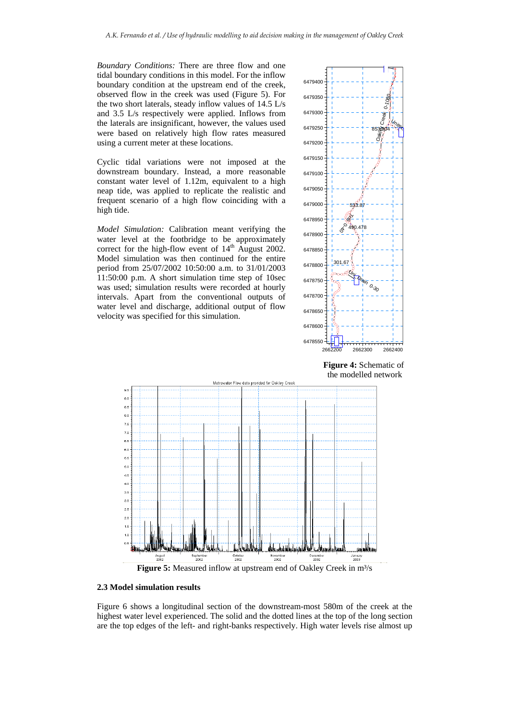*Boundary Conditions:* There are three flow and one tidal boundary conditions in this model. For the inflow boundary condition at the upstream end of the creek, observed flow in the creek was used (Figure 5). For the two short laterals, steady inflow values of 14.5 L/s and 3.5 L/s respectively were applied. Inflows from the laterals are insignificant, however, the values used were based on relatively high flow rates measured using a current meter at these locations.

Cyclic tidal variations were not imposed at the downstream boundary. Instead, a more reasonable constant water level of 1.12m, equivalent to a high neap tide, was applied to replicate the realistic and frequent scenario of a high flow coinciding with a high tide.

*Model Simulation:* Calibration meant verifying the water level at the footbridge to be approximately correct for the high-flow event of  $14<sup>th</sup>$  August 2002. Model simulation was then continued for the entire period from 25/07/2002 10:50:00 a.m. to 31/01/2003 11:50:00 p.m. A short simulation time step of 10sec was used; simulation results were recorded at hourly intervals. Apart from the conventional outputs of water level and discharge, additional output of flow velocity was specified for this simulation.



 **Figure 4:** Schematic of the modelled network



#### **2.3 Model simulation results**

Figure 6 shows a longitudinal section of the downstream-most 580m of the creek at the highest water level experienced. The solid and the dotted lines at the top of the long section are the top edges of the left- and right-banks respectively. High water levels rise almost up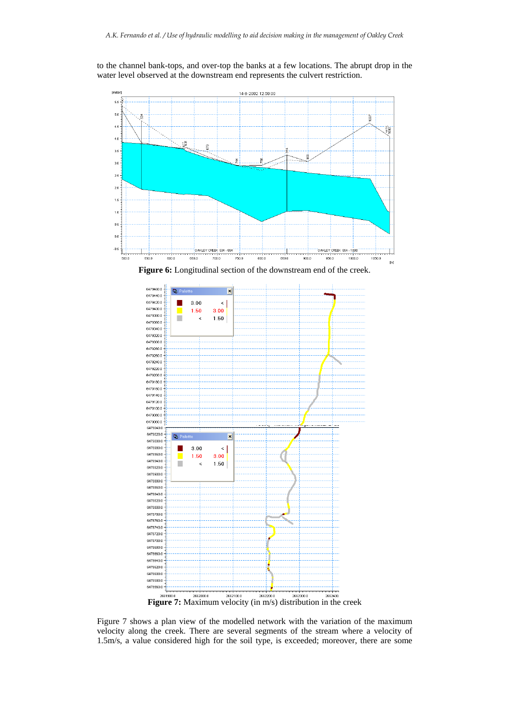



Figure 7 shows a plan view of the modelled network with the variation of the maximum velocity along the creek. There are several segments of the stream where a velocity of 1.5m/s, a value considered high for the soil type, is exceeded; moreover, there are some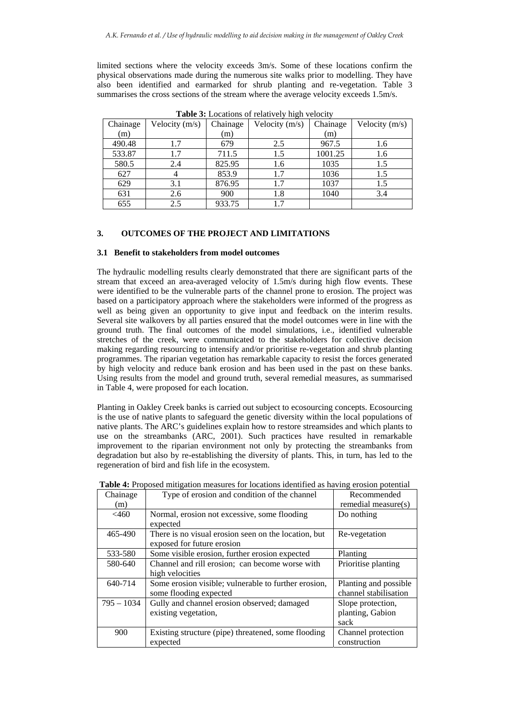limited sections where the velocity exceeds 3m/s. Some of these locations confirm the physical observations made during the numerous site walks prior to modelling. They have also been identified and earmarked for shrub planting and re-vegetation. Table 3 summarises the cross sections of the stream where the average velocity exceeds 1.5m/s.

| $\circ$  |                |          |                  |          |                |
|----------|----------------|----------|------------------|----------|----------------|
| Chainage | Velocity (m/s) | Chainage | Velocity $(m/s)$ | Chainage | Velocity (m/s) |
| (m)      |                | (m)      |                  | (m)      |                |
| 490.48   | 1.7            | 679      | 2.5              | 967.5    | 1.6            |
| 533.87   | 1.7            | 711.5    | 1.5              | 1001.25  | 1.6            |
| 580.5    | 2.4            | 825.95   | 1.6              | 1035     | 1.5            |
| 627      |                | 853.9    | 1.7              | 1036     | 1.5            |
| 629      | 3.1            | 876.95   | 1.7              | 1037     | 1.5            |
| 631      | 2.6            | 900      | 1.8              | 1040     | 3.4            |
| 655      | 2.5            | 933.75   | 1.7              |          |                |

**Table 3:** Locations of relatively high velocity

# **3. OUTCOMES OF THE PROJECT AND LIMITATIONS**

## **3.1 Benefit to stakeholders from model outcomes**

The hydraulic modelling results clearly demonstrated that there are significant parts of the stream that exceed an area-averaged velocity of 1.5m/s during high flow events. These were identified to be the vulnerable parts of the channel prone to erosion. The project was based on a participatory approach where the stakeholders were informed of the progress as well as being given an opportunity to give input and feedback on the interim results. Several site walkovers by all parties ensured that the model outcomes were in line with the ground truth. The final outcomes of the model simulations, i.e., identified vulnerable stretches of the creek, were communicated to the stakeholders for collective decision making regarding resourcing to intensify and/or prioritise re-vegetation and shrub planting programmes. The riparian vegetation has remarkable capacity to resist the forces generated by high velocity and reduce bank erosion and has been used in the past on these banks. Using results from the model and ground truth, several remedial measures, as summarised in Table 4, were proposed for each location.

Planting in Oakley Creek banks is carried out subject to ecosourcing concepts. Ecosourcing is the use of native plants to safeguard the genetic diversity within the local populations of native plants. The ARC's guidelines explain how to restore streamsides and which plants to use on the streambanks (ARC, 2001). Such practices have resulted in remarkable improvement to the riparian environment not only by protecting the streambanks from degradation but also by re-establishing the diversity of plants. This, in turn, has led to the regeneration of bird and fish life in the ecosystem.

| posed integation measures for focultons recitative as nu ring croston potential |                                                      |                       |  |  |
|---------------------------------------------------------------------------------|------------------------------------------------------|-----------------------|--|--|
| Chainage                                                                        | Type of erosion and condition of the channel         | Recommended           |  |  |
| (m)                                                                             |                                                      | remedial measure(s)   |  |  |
| <460                                                                            | Normal, erosion not excessive, some flooding         | Do nothing            |  |  |
|                                                                                 | expected                                             |                       |  |  |
| 465-490                                                                         | There is no visual erosion seen on the location, but | Re-vegetation         |  |  |
|                                                                                 | exposed for future erosion                           |                       |  |  |
| 533-580                                                                         | Some visible erosion, further erosion expected       | Planting              |  |  |
| 580-640                                                                         | Channel and rill erosion; can become worse with      | Prioritise planting   |  |  |
|                                                                                 | high velocities                                      |                       |  |  |
| 640-714                                                                         | Some erosion visible; vulnerable to further erosion, | Planting and possible |  |  |
|                                                                                 | some flooding expected                               | channel stabilisation |  |  |
| $795 - 1034$                                                                    | Gully and channel erosion observed; damaged          | Slope protection,     |  |  |
|                                                                                 | existing vegetation,                                 | planting, Gabion      |  |  |
|                                                                                 |                                                      | sack                  |  |  |
| 900                                                                             | Existing structure (pipe) threatened, some flooding  | Channel protection    |  |  |
|                                                                                 | expected                                             | construction          |  |  |

**Table 4:** Proposed mitigation measures for locations identified as having erosion potential